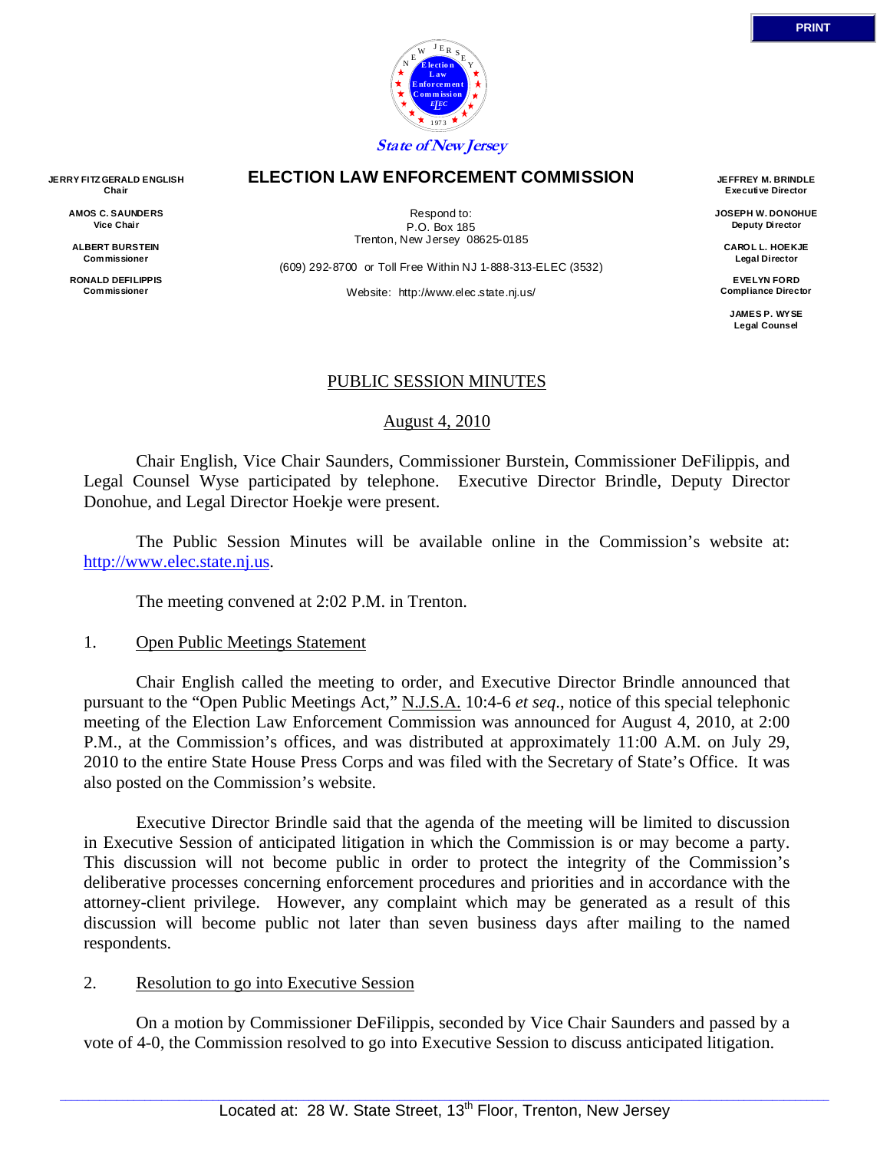

#### **ELECTION LAW ENFORCEMENT COMMISSION**

Respond to: P.O. Box 185 Trenton, New Jersey 08625-0185

(609) 292-8700 or Toll Free Within NJ 1-888-313-ELEC (3532)

Website: http://www.elec.state.nj.us/

**JEFFREY M. BRINDLE Executive Director** 

**JOSEPH W. DONOHUE Deputy Director** 

**CAROL L. HOEKJE Legal Director** 

**EVELYN FORD Compliance Director** 

> **JAMES P. WYSE Legal Counsel**

### PUBLIC SESSION MINUTES

August 4, 2010

 Chair English, Vice Chair Saunders, Commissioner Burstein, Commissioner DeFilippis, and Legal Counsel Wyse participated by telephone. Executive Director Brindle, Deputy Director Donohue, and Legal Director Hoekje were present.

 The Public Session Minutes will be available online in the Commission's website at: http://www.elec.state.nj.us.

The meeting convened at 2:02 P.M. in Trenton.

### 1. Open Public Meetings Statement

 Chair English called the meeting to order, and Executive Director Brindle announced that pursuant to the "Open Public Meetings Act," N.J.S.A. 10:4-6 *et seq*., notice of this special telephonic meeting of the Election Law Enforcement Commission was announced for August 4, 2010, at 2:00 P.M., at the Commission's offices, and was distributed at approximately 11:00 A.M. on July 29, 2010 to the entire State House Press Corps and was filed with the Secretary of State's Office. It was also posted on the Commission's website.

 Executive Director Brindle said that the agenda of the meeting will be limited to discussion in Executive Session of anticipated litigation in which the Commission is or may become a party. This discussion will not become public in order to protect the integrity of the Commission's deliberative processes concerning enforcement procedures and priorities and in accordance with the attorney-client privilege. However, any complaint which may be generated as a result of this discussion will become public not later than seven business days after mailing to the named respondents.

### 2. Resolution to go into Executive Session

 On a motion by Commissioner DeFilippis, seconded by Vice Chair Saunders and passed by a vote of 4-0, the Commission resolved to go into Executive Session to discuss anticipated litigation.

**AMOS C. SAUNDERS Vice Chair** 

**ALBERT BURSTEIN Commissioner** 

**RONALD DEFILIPPIS Commissioner**